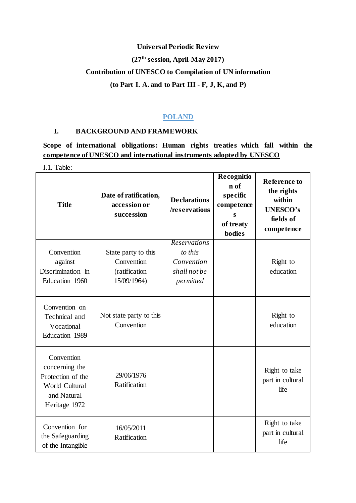#### **Universal Periodic Review**

# **(27th session, April-May 2017)**

## **Contribution of UNESCO to Compilation of UN information**

## **(to Part I. A. and to Part III - F, J, K, and P)**

#### **POLAND**

## **I. BACKGROUND AND FRAMEWORK**

**Scope of international obligations: Human rights treaties which fall within the competence of UNESCO and international instruments adopted by UNESCO**

I.1. Table:

| <b>Title</b>                                                                                        | Date of ratification,<br>accession or<br>succession               | <b>Declarations</b><br>/reservations                                      | Recognitio<br>n of<br>specific<br>competence<br>S<br>of treaty<br><b>bodies</b> | <b>Reference to</b><br>the rights<br>within<br><b>UNESCO's</b><br>fields of<br>competence |
|-----------------------------------------------------------------------------------------------------|-------------------------------------------------------------------|---------------------------------------------------------------------------|---------------------------------------------------------------------------------|-------------------------------------------------------------------------------------------|
| Convention<br>against<br>Discrimination in<br>Education 1960                                        | State party to this<br>Convention<br>(ratification<br>15/09/1964) | <b>Reservations</b><br>to this<br>Convention<br>shall not be<br>permitted |                                                                                 | Right to<br>education                                                                     |
| Convention on<br>Technical and<br>Vocational<br>Education 1989                                      | Not state party to this<br>Convention                             |                                                                           |                                                                                 | Right to<br>education                                                                     |
| Convention<br>concerning the<br>Protection of the<br>World Cultural<br>and Natural<br>Heritage 1972 | 29/06/1976<br>Ratification                                        |                                                                           |                                                                                 | Right to take<br>part in cultural<br>life                                                 |
| Convention for<br>the Safeguarding<br>of the Intangible                                             | 16/05/2011<br>Ratification                                        |                                                                           |                                                                                 | Right to take<br>part in cultural<br>life                                                 |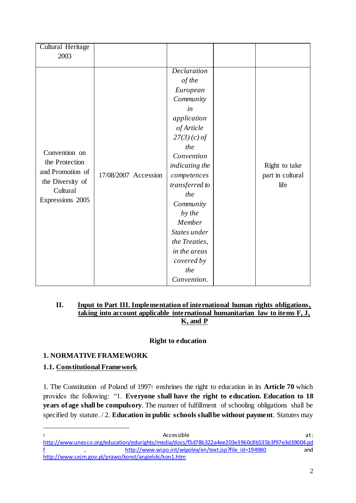| <b>Cultural Heritage</b>                                                                                |                      |                    |                  |
|---------------------------------------------------------------------------------------------------------|----------------------|--------------------|------------------|
| 2003                                                                                                    |                      |                    |                  |
|                                                                                                         |                      | <b>Declaration</b> |                  |
| Convention on<br>the Protection<br>and Promotion of<br>the Diversity of<br>Cultural<br>Expressions 2005 | 17/08/2007 Accession | $of\,the$          |                  |
|                                                                                                         |                      | European           |                  |
|                                                                                                         |                      | Community          |                  |
|                                                                                                         |                      | in                 |                  |
|                                                                                                         |                      | application        |                  |
|                                                                                                         |                      | of Article         |                  |
|                                                                                                         |                      | $27(3)(c)$ of      |                  |
|                                                                                                         |                      | the                |                  |
|                                                                                                         |                      | Convention         |                  |
|                                                                                                         |                      | indicating the     | Right to take    |
|                                                                                                         |                      | competences        | part in cultural |
|                                                                                                         |                      | transferred to     | life             |
|                                                                                                         |                      | the                |                  |
|                                                                                                         |                      | Community          |                  |
|                                                                                                         |                      | by the             |                  |
|                                                                                                         |                      | Member             |                  |
|                                                                                                         |                      | States under       |                  |
|                                                                                                         |                      | the Treaties,      |                  |
|                                                                                                         |                      | in the areas       |                  |
|                                                                                                         |                      | covered by         |                  |
|                                                                                                         |                      | the                |                  |
|                                                                                                         |                      | Convention.        |                  |

#### **II. Input to Part III. Implementation of international human rights obligations, taking into account applicable international humanitarian law to items F, J, K, and P**

## **Right to education**

#### **1. NORMATIVE FRAMEWORK**

#### **1.1. Constitutional Framework**

 $\overline{a}$ 

1. The Constitution of Poland of 1997<sup>1</sup> enshrines the right to education in its **Article 70** which provides the following: "1. **Everyone shall have the right to education. Education to 18 years of age shall be compulsory**. The manner of fulfillment of schooling obligations shall be specified by statute. / 2. **Education in public schools shall be without payment**. Statutes may

<sup>1</sup> **Accessible at:** http://www.unesco.org/education/edurights/media/docs/f3d78b322a4ee203e3960c8b535b3f97e3d39004.pd f http://www.wipo.int/wipolex/en/text.jsp?file\_id=194980 and http://www.sejm.gov.pl/prawo/konst/angielski/kon1.htm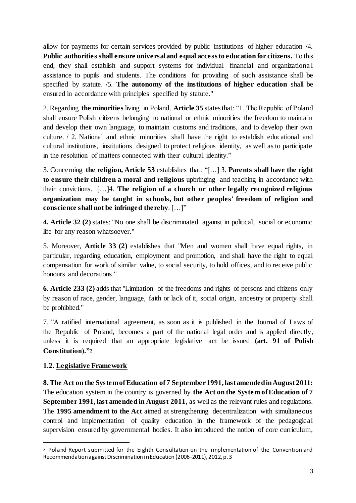allow for payments for certain services provided by public institutions of higher education /4. **Public authorities shall ensure universal and equal access to education for citizens.** To this end, they shall establish and support systems for individual financial and organizationa l assistance to pupils and students. The conditions for providing of such assistance shall be specified by statute. /5. **The autonomy of the institutions of higher education** shall be ensured in accordance with principles specified by statute."

2. Regarding **the minorities** living in Poland, **Article 35** states that: "1. The Republic of Poland shall ensure Polish citizens belonging to national or ethnic minorities the freedom to maintain and develop their own language, to maintain customs and traditions, and to develop their own culture. / 2. National and ethnic minorities shall have the right to establish educational and cultural institutions, institutions designed to protect religious identity, as well as to participate in the resolution of matters connected with their cultural identity."

3. Concerning **the religion, Article 53** establishes that: "[…] 3. **Parents shall have the right to ensure their children a moral and religious** upbringing and teaching in accordance with their convictions. […]4. **The religion of a church or other legally recognized religious organization may be taught in schools, but other peoples' freedom of religion and conscience shall not be infringed thereby**. […]"

**4. Article 32 (2)** states: "No one shall be discriminated against in political, social or economic life for any reason whatsoever."

5. Moreover, **Article 33 (2)** establishes that "Men and women shall have equal rights, in particular, regarding education, employment and promotion, and shall have the right to equal compensation for work of similar value, to social security, to hold offices, and to receive public honours and decorations."

**6. Article 233 (2)** adds that "Limitation of the freedoms and rights of persons and citizens only by reason of race, gender, language, faith or lack of it, social origin, ancestry or property shall be prohibited."

7. "A ratified international agreement, as soon as it is published in the Journal of Laws of the Republic of Poland, becomes a part of the national legal order and is applied directly, unless it is required that an appropriate legislative act be issued **(art. 91 of Polish Constitution)."<sup>2</sup>**

#### **1.2. Legislative Framework**

 $\overline{a}$ 

**8. The Act on the System of Education of 7 September 1991, last amended in August 2011:**  The education system in the country is governed by **the Act on the System of Education of 7 September 1991, last amended in August 2011**, as well as the relevant rules and regulations. The **1995 amendment to the Act** aimed at strengthening decentralization with simultaneous control and implementation of quality education in the framework of the pedagogical supervision ensured by governmental bodies. It also introduced the notion of core curriculum,

<sup>2</sup> Poland Report submitted for the Eighth Consultation on the implementation of the Convention and Recommendation against Discrimination in Education (2006-2011), 2012, p. 3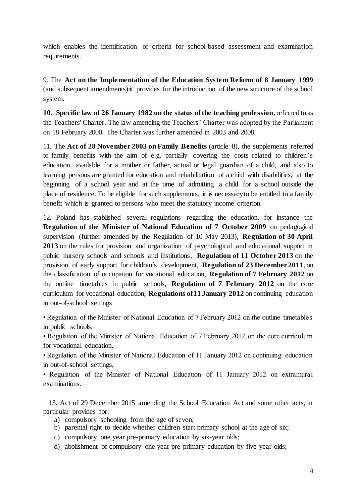which enables the identification of criteria for school-based assessment and examination requirements.

9. The **Act on the Implementation of the Education System Reform of 8 January 1999** (and subsequent amendments):it provides for the introduction of the new structure of the school system.

**10. Specific law of 26 January 1982 on the status of the teaching profession**, referred to as the Teachers' Charter. The law amending the Teachers' Charter was adopted by the Parliament on 18 February 2000. The Charter was further amended in 2003 and 2008.

11. The **Act of 28 November 2003 on Family Benefits** (article 8), the supplements referred to family benefits with the aim of e.g. partially covering the costs related to children's education, available for a mother or father, actual or legal guardian of a child, and also to learning persons are granted for education and rehabilitation of a child with disabilities, at the beginning of a school year and at the time of admitting a child for a school outside the place of residence. To be eligible for such supplements, it is necessary to be entitled to a family benefit which is granted to persons who meet the statutory income criterion.

12. Poland has stablished several regulations regarding the education, for instance the **Regulation of the Minister of National Education of 7 October 2009** on pedagogical supervision (further amended by the Regulation of 10 May 2013), **Regulation of 30 April 2013** on the rules for provision and organization of psychological and educational support in public nursery schools and schools and institutions, **Regulation of 11 October 2013** on the provision of early support for children´s development, **Regulation of 23 December 2011**, on the classification of occupation for vocational education, **Regulation of 7 February 2012** on the outline timetables in public schools, **Regulation of 7 February 2012** on the core curriculum for vocational education, **Regulations of 11 January 2012** on continuing education in out-of-school settings

• Regulation of the Minister of National Education of 7 February 2012 on the outline timetables in public schools,

• Regulation of the Minister of National Education of 7 February 2012 on the core curriculum for vocational education,

• Regulation of the Minister of National Education of 11 January 2012 on continuing education in out-of-school settings,

• Regulation of the Minister of National Education of 11 January 2012 on extramural examinations.

 13. Act of 29 December 2015 amending the School Education Act and some other acts, in particular provides for:

- a) compulsory schooling from the age of seven;
- b) parental right to decide whether children start primary school at the age of six;
- c) compulsory one year pre-primary education by six-year olds;
- d) abolishment of compulsory one year pre-primary education by five-year olds;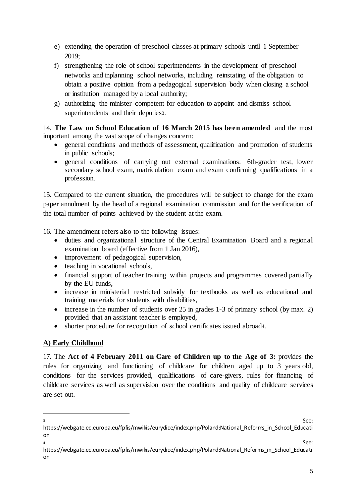- e) extending the operation of preschool classes at primary schools until 1 September 2019;
- f) strengthening the role of school superintendents in the development of preschool networks and inplanning school networks, including reinstating of the obligation to obtain a positive opinion from a pedagogical supervision body when closing a school or institution managed by a local authority;
- g) authorizing the minister competent for education to appoint and dismiss school superintendents and their deputies3.

14. **The Law on School Education of 16 March 2015 has been amended** and the most important among the vast scope of changes concern:

- general conditions and methods of assessment, qualification and promotion of students in public schools;
- general conditions of carrying out external examinations: 6th-grader test, lower secondary school exam, matriculation exam and exam confirming qualifications in a profession.

15. Compared to the current situation, the procedures will be subject to change for the exam paper annulment by the head of a regional examination commission and for the verification of the total number of points achieved by the student at the exam.

16. The amendment refers also to the following issues:

- duties and organizational structure of the Central Examination Board and a regional examination board (effective from 1 Jan 2016),
- improvement of pedagogical supervision,
- teaching in vocational schools,
- financial support of teacher training within projects and programmes covered partially by the EU funds,
- increase in ministerial restricted subsidy for textbooks as well as educational and training materials for students with disabilities,
- $\bullet$  increase in the number of students over 25 in grades 1-3 of primary school (by max. 2) provided that an assistant teacher is employed,
- shorter procedure for recognition of school certificates issued abroad4.

## **A) Early Childhood**

 $\overline{a}$ 

17. The **Act of 4 February 2011 on Care of Children up to the Age of 3:** provides the rules for organizing and functioning of childcare for children aged up to 3 years old, conditions for the services provided, qualifications of care-givers, rules for financing of childcare services as well as supervision over the conditions and quality of childcare services are set out.

 $3<sup>3</sup>$ 

https://webgate.ec.europa.eu/fpfis/mwikis/eurydice/index.php/Poland:National\_Reforms\_in\_School\_Educati on  $\overline{4}$  See:

https://webgate.ec.europa.eu/fpfis/mwikis/eurydice/index.php/Poland:National\_Reforms\_in\_School\_Educati on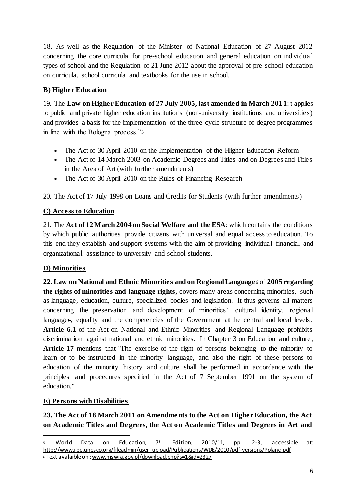18. As well as the Regulation of the Minister of National Education of 27 August 2012 concerning the core curricula for pre-school education and general education on individua l types of school and the Regulation of 21 June 2012 about the approval of pre-school education on curricula, school curricula and textbooks for the use in school.

# **B) Higher Education**

19. The **Law on Higher Education of 27 July 2005, last amended in March 2011**: t applies to public and private higher education institutions (non-university institutions and universities) and provides a basis for the implementation of the three-cycle structure of degree programmes in line with the Bologna process."<sup>5</sup>

- The Act of 30 April 2010 on the Implementation of the Higher Education Reform
- The Act of 14 March 2003 on Academic Degrees and Titles and on Degrees and Titles in the Area of Art (with further amendments)
- The Act of 30 April 2010 on the Rules of Financing Research

20. The Act of 17 July 1998 on Loans and Credits for Students (with further amendments)

# **C) Access to Education**

21. The **Act of 12 March 2004 onSocial Welfare and the ESA**: which contains the conditions by which public authorities provide citizens with universal and equal access to education. To this end they establish and support systems with the aim of providing individual financial and organizational assistance to university and school students.

# **D) Minorities**

**22. Law on National and Ethnic Minorities and on Regional Language** <sup>6</sup> of **2005 regarding the rights of minorities and language rights,** covers many areas concerning minorities, such as language, education, culture, specialized bodies and legislation. It thus governs all matters concerning the preservation and development of minorities' cultural identity, regional languages, equality and the competencies of the Government at the central and local levels. **Article 6.1** of the Act on National and Ethnic Minorities and Regional Language prohibits discrimination against national and ethnic minorities. In Chapter 3 on Education and culture , **Article 17** mentions that "The exercise of the right of persons belonging to the minority to learn or to be instructed in the minority language, and also the right of these persons to education of the minority history and culture shall be performed in accordance with the principles and procedures specified in the Act of 7 September 1991 on the system of education."

## **E) Persons with Disabilities**

 $\overline{a}$ 

**23. The Act of 18 March 2011 on Amendments to the Act on HigherEducation, the Act on Academic Titles and Degrees, the Act on Academic Titles and Degrees in Art and**

<sup>5</sup> World Data on Education, 7<sup>th</sup> Edition, 2010/11, pp. 2-3, accessible at: http://www.ibe.unesco.org/fileadmin/user\_upload/Publications/WDE/2010/pdf-versions/Poland.pdf <sup>6</sup> Text avalaible on : www.mswia.gov.pl/download.php?s=1&id=2327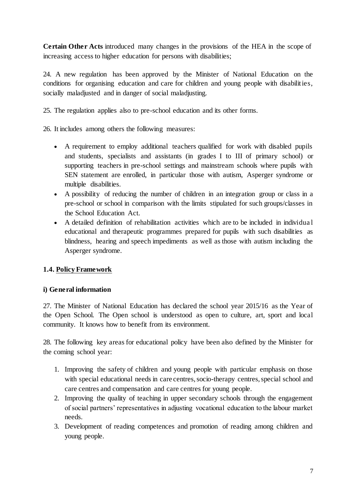**Certain Other Acts** introduced many changes in the provisions of the HEA in the scope of increasing access to higher education for persons with disabilities;

24. A new regulation has been approved by the Minister of National Education on the conditions for organising education and care for children and young people with disabilities, socially maladjusted and in danger of social maladjusting.

25. The regulation applies also to pre-school education and its other forms.

26. It includes among others the following measures:

- A requirement to employ additional teachers qualified for work with disabled pupils and students, specialists and assistants (in grades I to III of primary school) or supporting teachers in pre-school settings and mainstream schools where pupils with SEN statement are enrolled, in particular those with autism, Asperger syndrome or multiple disabilities.
- A possibility of reducing the number of children in an integration group or class in a pre-school or school in comparison with the limits stipulated for such groups/classes in the School Education Act.
- A detailed definition of rehabilitation activities which are to be included in individua l educational and therapeutic programmes prepared for pupils with such disabilities as blindness, hearing and speech impediments as well as those with autism including the Asperger syndrome.

## **1.4. Policy Framework**

## **i) General information**

27. The Minister of National Education has declared the school year 2015/16 as the Year of the Open School. The Open school is understood as open to culture, art, sport and local community. It knows how to benefit from its environment.

28. The following key areas for educational policy have been also defined by the Minister for the coming school year:

- 1. Improving the safety of children and young people with particular emphasis on those with special educational needs in care centres, socio-therapy centres, special school and care centres and compensation and care centres for young people.
- 2. Improving the quality of teaching in upper secondary schools through the engagement of social partners' representatives in adjusting vocational education to the labour market needs.
- 3. Development of reading competences and promotion of reading among children and young people.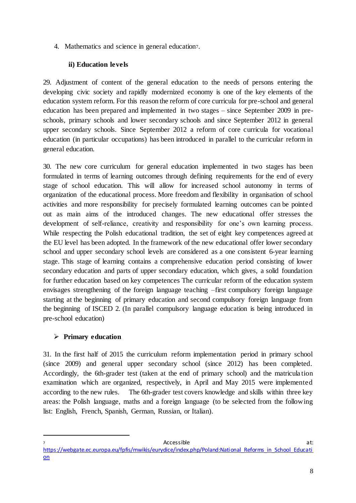4. Mathematics and science in general education7.

## **ii) Education levels**

29. Adjustment of content of the general education to the needs of persons entering the developing civic society and rapidly modernized economy is one of the key elements of the education system reform. For this reason the reform of core curricula for pre-school and general education has been prepared and implemented in two stages – since September 2009 in preschools, primary schools and lower secondary schools and since September 2012 in general upper secondary schools. Since September 2012 a reform of core curricula for vocational education (in particular occupations) has been introduced in parallel to the curricular reform in general education.

30. The new core curriculum for general education implemented in two stages has been formulated in terms of learning outcomes through defining requirements for the end of every stage of school education. This will allow for increased school autonomy in terms of organization of the educational process. More freedom and flexibility in organisation of school activities and more responsibility for precisely formulated learning outcomes can be pointed out as main aims of the introduced changes. The new educational offer stresses the development of self-reliance, creativity and responsibility for one's own learning process. While respecting the Polish educational tradition, the set of eight key competences agreed at the EU level has been adopted. In the framework of the new educational offer lower secondary school and upper secondary school levels are considered as a one consistent 6-year learning stage. This stage of learning contains a comprehensive education period consisting of lower secondary education and parts of upper secondary education, which gives, a solid foundation for further education based on key competences The curricular reform of the education system envisages strengthening of the foreign language teaching –first compulsory foreign language starting at the beginning of primary education and second compulsory foreign language from the beginning of ISCED 2. (In parallel compulsory language education is being introduced in pre-school education)

## **Primary education**

 $\overline{a}$ 

31. In the first half of 2015 the curriculum reform implementation period in primary school (since 2009) and general upper secondary school (since 2012) has been completed. Accordingly, the 6th-grader test (taken at the end of primary school) and the matricula tion examination which are organized, respectively, in April and May 2015 were implemented according to the new rules. The 6th-grader test covers knowledge and skills within three key areas: the Polish language, maths and a foreign language (to be selected from the following list: English, French, Spanish, German, Russian, or Italian).

 $\overline{z}$  at:  $\overline{z}$  Accessible at: https://webgate.ec.europa.eu/fpfis/mwikis/eurydice/index.php/Poland:National\_Reforms\_in\_School\_Educati on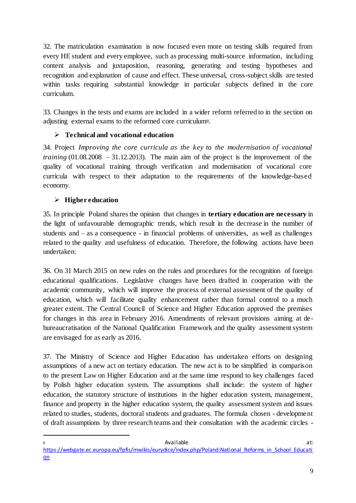32. The matriculation examination is now focused even more on testing skills required from every HE student and every employee, such as processing multi-source information, including content analysis and juxtaposition, reasoning, generating and testing hypotheses and recognition and explanation of cause and effect. These universal, cross-subject skills are tested within tasks requiring substantial knowledge in particular subjects defined in the core curriculum.

33. Changes in the tests and exams are included in a wider reform referred to in the section on adjusting external exams to the reformed core curriculum8.

## **Technical and vocational education**

34. Project *Improving the core curricula as the key to the modernisation of vocational training* (01.08.2008 – 31.12.2013). The main aim of the project is the improvement of the quality of vocational training through verification and modernisation of vocational core curricula with respect to their adaptation to the requirements of the knowledge-based economy.

## **Higher education**

 $\overline{a}$ 

35. In principle Poland shares the opinion that changes in **tertiary education are necessary** in the light of unfavourable demographic trends, which result in the decrease in the number of students and – as a consequence - in financial problems of universities, as well as challenges related to the quality and usefulness of education. Therefore, the following actions have been undertaken:

36. On 31 March 2015 on new rules on the rules and procedures for the recognition of foreign educational qualifications. Legislative changes have been drafted in cooperation with the academic community, which will improve the process of external assessment of the quality of education, which will facilitate quality enhancement rather than formal control to a much greater extent. The Central Council of Science and Higher Education approved the premises for changes in this area in February 2016. Amendments of relevant provisions aiming at debureaucratisation of the National Qualification Framework and the quality assessment system are envisaged for as early as 2016.

37. The Ministry of Science and Higher Education has undertaken efforts on designing assumptions of a new act on tertiary education. The new act is to be simplified in comparison to the present Law on Higher Education and at the same time respond to key challenges faced by Polish higher education system. The assumptions shall include: the system of higher education, the statutory structure of institutions in the higher education system, management, finance and property in the higher education system, the quality assessment system and issues related to studies, students, doctoral students and graduates. The formula chosen - development of draft assumptions by three research teams and their consultation with the academic circles -

<sup>8</sup> Available at: Annual Society of the Available at: Annual Society at: Annual Society at: Annual Society at: A https://webgate.ec.europa.eu/fpfis/mwikis/eurydice/index.php/Poland:National\_Reforms\_in\_School\_Educati on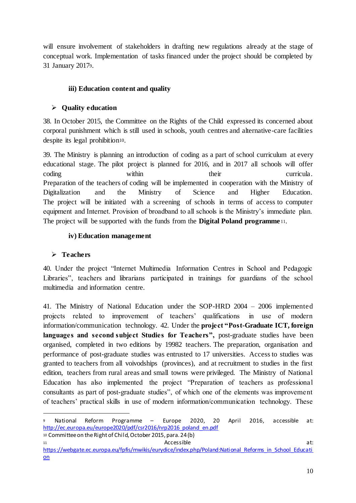will ensure involvement of stakeholders in drafting new regulations already at the stage of conceptual work. Implementation of tasks financed under the project should be completed by 31 January 20179.

## **iii) Education content and quality**

## **Quality education**

38. In October 2015, the Committee on the Rights of the Child expressed its concerned about corporal punishment which is still used in schools, youth centres and alternative-care facilities despite its legal prohibition10.

39. The Ministry is planning an introduction of coding as a part of school curriculum at every educational stage. The pilot project is planned for 2016, and in 2017 all schools will offer coding within within their curricula. Preparation of the teachers of coding will be implemented in cooperation with the Ministry of Digitalization and the Ministry of Science and Higher Education. The project will be initiated with a screening of schools in terms of access to computer equipment and Internet. Provision of broadband to all schools is the Ministry's immediate plan. The project will be supported with the funds from the **Digital Poland programme** <sup>11</sup>.

## **iv) Education management**

## **Teachers**

 $\overline{a}$ 

40. Under the project "Internet Multimedia Information Centres in School and Pedagogic Libraries", teachers and librarians participated in trainings for guardians of the school multimedia and information centre.

41. The Ministry of National Education under the SOP-HRD 2004 – 2006 implemented projects related to improvement of teachers' qualifications in use of modern information/communication technology. 42. Under the **project "Post-Graduate ICT, foreign languages and second subject Studies for Teachers",** post-graduate studies have been organised, completed in two editions by 19982 teachers. The preparation, organisation and performance of post-graduate studies was entrusted to 17 universities. Access to studies was granted to teachers from all voivodships (provinces), and at recruitment to studies in the first edition, teachers from rural areas and small towns were privileged. The Ministry of National Education has also implemented the project "Preparation of teachers as professional consultants as part of post-graduate studies", of which one of the elements was improvement of teachers' practical skills in use of modern information/communication technology. These

<sup>10</sup> Committee on the Right of Child, October 2015, para. 24 (b)

<sup>9</sup> National Reform Programme – Europe 2020, 20 April 2016, accessible at: http://ec.europa.eu/europe2020/pdf/csr2016/nrp2016\_poland\_en.pdf

<sup>11</sup> **Accessible at:** Accessible **at:** Accessible **at:**  $\overrightarrow{a}$ 

https://webgate.ec.europa.eu/fpfis/mwikis/eurydice/index.php/Poland:National\_Reforms\_in\_School\_Educati on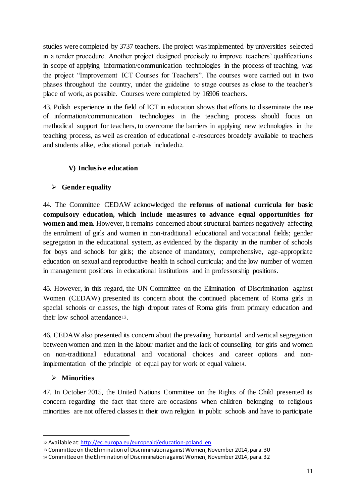studies were completed by 3737 teachers. The project was implemented by universities selected in a tender procedure. Another project designed precisely to improve teachers' qualifications in scope of applying information/communication technologies in the process of teaching, was the project "Improvement ICT Courses for Teachers". The courses were carried out in two phases throughout the country, under the guideline to stage courses as close to the teacher's place of work, as possible. Courses were completed by 16906 teachers.

43. Polish experience in the field of ICT in education shows that efforts to disseminate the use of information/communication technologies in the teaching process should focus on methodical support for teachers, to overcome the barriers in applying new technologies in the teaching process, as well as creation of educational e-resources broadely available to teachers and students alike, educational portals included12.

## **V) Inclusive education**

## **Gender equality**

44. The Committee CEDAW acknowledged the **reforms of national curricula for basic compulsory education, which include measures to advance equal opportunities for women and men.** However, it remains concerned about structural barriers negatively affecting the enrolment of girls and women in non-traditional educational and vocational fields; gender segregation in the educational system, as evidenced by the disparity in the number of schools for boys and schools for girls; the absence of mandatory, comprehensive, age-appropriate education on sexual and reproductive health in school curricula; and the low number of women in management positions in educational institutions and in professorship positions.

45. However, in this regard, the UN Committee on the Elimination of Discrimination against Women (CEDAW) presented its concern about the continued placement of Roma girls in special schools or classes, the high dropout rates of Roma girls from primary education and their low school attendance13.

46. CEDAW also presented its concern about the prevailing horizontal and vertical segregation between women and men in the labour market and the lack of counselling for girls and women on non-traditional educational and vocational choices and career options and nonimplementation of the principle of equal pay for work of equal value14.

## **Minorities**

 $\overline{a}$ 

47. In October 2015, the United Nations Committee on the Rights of the Child presented its concern regarding the fact that there are occasions when children belonging to religious minorities are not offered classes in their own religion in public schools and have to participate

<sup>12</sup> Available at: http://ec.europa.eu/europeaid/education-poland\_en

<sup>13</sup> Committee on the Elimination of Discrimination against Women, November 2014, para. 30

<sup>14</sup> Committee on the Elimination of Discrimination against Women, November 2014, para. 32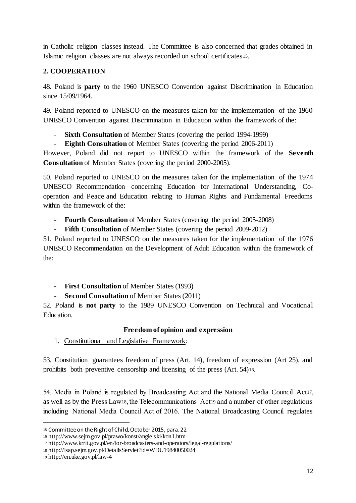in Catholic religion classes instead. The Committee is also concerned that grades obtained in Islamic religion classes are not always recorded on school certificates15.

# **2. COOPERATION**

48. Poland is **party** to the 1960 UNESCO Convention against Discrimination in Education since 15/09/1964.

49. Poland reported to UNESCO on the measures taken for the implementation of the 1960 UNESCO Convention against Discrimination in Education within the framework of the:

**Sixth Consultation** of Member States (covering the period 1994-1999)

**Eighth Consultation** of Member States (covering the period 2006-2011)

However, Poland did not report to UNESCO within the framework of the **Seventh Consultation** of Member States (covering the period 2000-2005).

50. Poland reported to UNESCO on the measures taken for the implementation of the 1974 UNESCO Recommendation concerning Education for International Understanding, Cooperation and Peace and Education relating to Human Rights and Fundamental Freedoms within the framework of the:

**Fourth Consultation** of Member States (covering the period 2005-2008)

**Fifth Consultation** of Member States (covering the period 2009-2012)

51. Poland reported to UNESCO on the measures taken for the implementation of the 1976 UNESCO Recommendation on the Development of Adult Education within the framework of the:

- **First Consultation** of Member States (1993)

**Second Consultation** of Member States (2011)

52. Poland is **not party** to the 1989 UNESCO Convention on Technical and Vocational Education.

## **Freedom of opinion and expression**

1. Constitutional and Legislative Framework:

53. Constitution guarantees freedom of press (Art. 14), freedom of expression (Art 25), and prohibits both preventive censorship and licensing of the press (Art. 54)16.

54. Media in Poland is regulated by Broadcasting Act and the National Media Council Act17, as well as by the Press Law18, the Telecommunications Act<sup>19</sup> and a number of other regulations including National Media Council Act of 2016. The National Broadcasting Council regulates

l

<sup>15</sup> Committee on the Right of Child, October 2015, para. 22

<sup>16</sup> http://www.sejm.gov.pl/prawo/konst/angielski/kon1.htm

<sup>17</sup> http://www.krrit.gov.pl/en/for-broadcasters-and-operators/legal-regulations/

<sup>18</sup> http://isap.sejm.gov.pl/DetailsServlet?id=WDU19840050024

<sup>19</sup> http://en.uke.gov.pl/law-4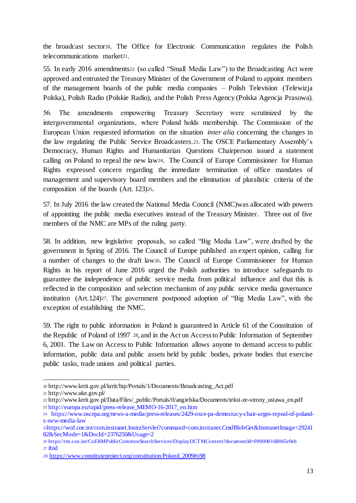the broadcast sector20. The Office for Electronic Communication regulates the Polish telecommunications market21.

55. In early 2016 amendments<sup>22</sup> (so called "Small Media Law") to the Broadcasting Act were approved and entrusted the Treasury Minister of the Government of Poland to appoint members of the management boards of the public media companies – Polish Television (Telewizja Polska), Polish Radio (Polskie Radio), and the Polish Press Agency (Polska Agencja Prasowa).

56. The amendments empowering Treasury Secretary were scrutinized by the intergovernmental organizations, where Poland holds membership. The Commission of the European Union requested information on the situation *inter alia* concerning the changes in the law regulating the Public Service Broadcasters.23. The OSCE Parliamentary Assembly's Democracy, Human Rights and Humanitarian Questions Chairperson issued a statement calling on Poland to repeal the new law24. The Council of Europe Commissioner for Human Rights expressed concern regarding the immediate termination of office mandates of management and supervisory board members and the elimination of pluralistic criteria of the composition of the boards (Art. 123)25.

57. In July 2016 the law created the National Media Council (NMC)was allocated with powers of appointing the public media executives instead of the Treasury Minister. Three out of five members of the NMC are MPs of the ruling party.

58. In addition, new legislative proposals, so called "Big Media Law", were drafted by the government in Spring of 2016. The Council of Europe published an expert opinion, calling for a number of changes to the draft law26. The Council of Europe Commissioner for Human Rights in his report of June 2016 urged the Polish authorities to introduce safeguards to guarantee the independence of public service media from political influence and that this is reflected in the composition and selection mechanism of any public service media governance institution (Art.124)27. The government postponed adoption of "Big Media Law", with the exception of establishing the NMC.

59. The right to public information in Poland is guaranteed in Article 61 of the Constitution of the Republic of Poland of 1997 28, and in the Act on Access to Public Information of September 6, 2001. The Law on Access to Public Information allows anyone to demand access to public information, public data and public assets held by public bodies, private bodies that exercise public tasks, trade unions and political parties.

 $\overline{a}$ 

<sup>20</sup> http://www.krrit.gov.pl/krrit/bip/Portals/1/Documents/Broadcasting\_Act.pdf

<sup>21</sup> http://www.uke.gov.pl/

<sup>22</sup> http://www.krrit.gov.pl/Data/Files/\_public/Portals/0/angielska/Documents/tekst-ze-strony\_ustawa\_en.pdf <sup>23</sup> http://europa.eu/rapid/press-release\_MEMO-16-2017\_en.htm

<sup>24</sup> https://www.oscepa.org/news-a-media/press-releases/2429-osce-pa-democracy-chair-urges-repeal-of-polands-new-media-law

<sup>25</sup>https://wcd.coe.int/com.instranet.InstraServlet?command=com.instranet.CmdBlobGet&InstranetImage=29241 82&SecMode=1&DocId=2376250&Usage=2

<sup>26</sup> https://rm.coe.int/CoERMPublicCommonSearchServices/DisplayDCTMContent?documentId=090000168065e9eb <sup>27</sup> ibid

<sup>28</sup> https://www.constituteproject.org/constitution/Poland\_2009#s98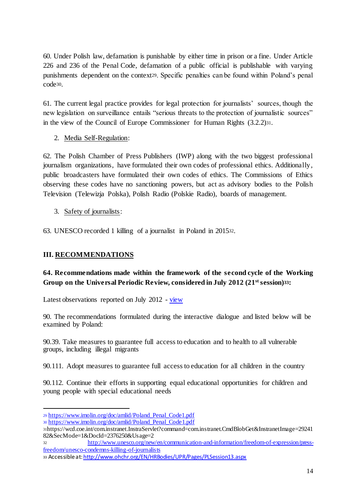60. Under Polish law, defamation is punishable by either time in prison or a fine. Under Article 226 and 236 of the Penal Code, defamation of a public official is publishable with varying punishments dependent on the context29. Specific penalties can be found within Poland's penal code30.

61. The current legal practice provides for legal protection for journalists' sources, though the new legislation on surveillance entails "serious threats to the protection of journalistic sources" in the view of the Council of Europe Commissioner for Human Rights (3.2.2)31.

## 2. Media Self-Regulation:

62. The Polish Chamber of Press Publishers (IWP) along with the two biggest professional journalism organizations, have formulated their own codes of professional ethics. Additionally, public broadcasters have formulated their own codes of ethics. The Commissions of Ethics observing these codes have no sanctioning powers, but act as advisory bodies to the Polish Television (Telewizja Polska), Polish Radio (Polskie Radio), boards of management.

## 3. Safety of journalists:

63. UNESCO recorded 1 killing of a journalist in Poland in 201532.

## **III. RECOMMENDATIONS**

l

# **64. Recommendations made within the framework of the second cycle of the Working Group on the Universal Periodic Review, considered in July 2012 (21stsession)33:**

Latest observations reported on July 2012 - view

90. The recommendations formulated during the interactive dialogue and listed below will be examined by Poland:

90.39. Take measures to guarantee full access to education and to health to all vulnerable groups, including illegal migrants

90.111. Adopt measures to guarantee full access to education for all children in the country

90.112. Continue their efforts in supporting equal educational opportunities for children and young people with special educational needs

<sup>29</sup> https://www.imolin.org/doc/amlid/Poland\_Penal\_Code1.pdf

<sup>30</sup> https://www.imolin.org/doc/amlid/Poland\_Penal\_Code1.pdf

<sup>31</sup>https://wcd.coe.int/com.instranet.InstraServlet?command=com.instranet.CmdBlobGet&InstranetImage=29241 82&SecMode=1&DocId=2376250&Usage=2

<sup>32</sup> http://www.unesco.org/new/en/communication-and-information/freedom-of-expression/pressfreedom/unesco-condemns-killing-of-journalists

<sup>33</sup> Accessible at: http://www.ohchr.org/EN/HRBodies/UPR/Pages/PLSession13.aspx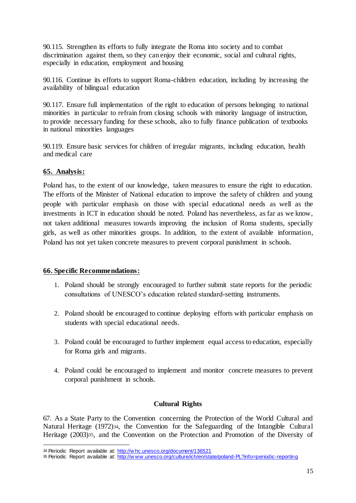90.115. Strengthen its efforts to fully integrate the Roma into society and to combat discrimination against them, so they can enjoy their economic, social and cultural rights, especially in education, employment and housing

90.116. Continue its efforts to support Roma-children education, including by increasing the availability of bilingual education

90.117. Ensure full implementation of the right to education of persons belonging to national minorities in particular to refrain from closing schools with minority language of instruction, to provide necessary funding for these schools, also to fully finance publication of textbooks in national minorities languages

90.119. Ensure basic services for children of irregular migrants, including education, health and medical care

#### **65. Analysis:**

Poland has, to the extent of our knowledge, taken measures to ensure the right to education. The efforts of the Minister of National education to improve the safety of children and young people with particular emphasis on those with special educational needs as well as the investments in ICT in education should be noted. Poland has nevertheless, as far as we know, not taken additional measures towards improving the inclusion of Roma students, specially girls, as well as other minorities groups. In addition, to the extent of available information, Poland has not yet taken concrete measures to prevent corporal punishment in schools.

#### **66. Specific Recommendations:**

- 1. Poland should be strongly encouraged to further submit state reports for the periodic consultations of UNESCO's education related standard-setting instruments.
- 2. Poland should be encouraged to continue deploying efforts with particular emphasis on students with special educational needs.
- 3. Poland could be encouraged to further implement equal access to education, especially for Roma girls and migrants.
- 4. Poland could be encouraged to implement and monitor concrete measures to prevent corporal punishment in schools.

#### **Cultural Rights**

67. As a State Party to the Convention concerning the Protection of the World Cultural and Natural Heritage (1972)34, the Convention for the Safeguarding of the Intangible Cultural Heritage (2003)35, and the Convention on the Protection and Promotion of the Diversity of

 $\overline{a}$ 34 Periodic Report available at: http://w hc.unesco.org/document/136521

<sup>35</sup> Periodic Report available at: http://w ww.unesco.org/culture/ich/en/state/poland-PL?info=periodic-reporting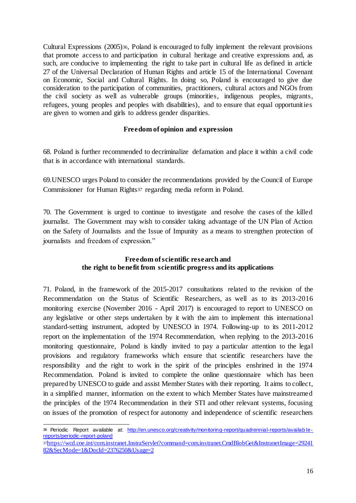Cultural Expressions (2005)36, Poland is encouraged to fully implement the relevant provisions that promote access to and participation in cultural heritage and creative expressions and, as such, are conducive to implementing the right to take part in cultural life as defined in article 27 of the Universal Declaration of Human Rights and article 15 of the International Covenant on Economic, Social and Cultural Rights. In doing so, Poland is encouraged to give due consideration to the participation of communities, practitioners, cultural actors and NGOs from the civil society as well as vulnerable groups (minorities, indigenous peoples, migrants, refugees, young peoples and peoples with disabilities), and to ensure that equal opportunities are given to women and girls to address gender disparities.

#### **Freedom of opinion and expression**

68. Poland is further recommended to decriminalize defamation and place it within a civil code that is in accordance with international standards.

69.UNESCO urges Poland to consider the recommendations provided by the Council of Europe Commissioner for Human Rights<sup>37</sup> regarding media reform in Poland.

70. The Government is urged to continue to investigate and resolve the cases of the killed journalist. The Government may wish to consider taking advantage of the UN Plan of Action on the Safety of Journalists and the Issue of Impunity as a means to strengthen protection of journalists and freedom of expression."

## **Freedom of scientific research and the right to benefit from scientific progress and its applications**

71. Poland, in the framework of the 2015-2017 consultations related to the revision of the Recommendation on the Status of Scientific Researchers, as well as to its 2013-2016 monitoring exercise (November 2016 - April 2017) is encouraged to report to UNESCO on any legislative or other steps undertaken by it with the aim to implement this international standard-setting instrument, adopted by UNESCO in 1974. Following-up to its 2011-2012 report on the implementation of the 1974 Recommendation, when replying to the 2013-2016 monitoring questionnaire, Poland is kindly invited to pay a particular attention to the legal provisions and regulatory frameworks which ensure that scientific researchers have the responsibility and the right to work in the spirit of the principles enshrined in the 1974 Recommendation. Poland is invited to complete the online questionnaire which has been prepared by UNESCO to guide and assist Member States with their reporting. It aims to collect, in a simplified manner, information on the extent to which Member States have mainstreamed the principles of the 1974 Recommendation in their STI and other relevant systems, focusing on issues of the promotion of respect for autonomy and independence of scientific researchers

 $\overline{a}$ 36 Periodic Report available at: http://en.unesco.org/creativity/monitoring-report/quadrennial-reports/availab lereports/periodic-report-poland

<sup>37</sup>https://wcd.coe.int/com.instranet.InstraServlet?command=com.instranet.CmdBlobGet&InstranetImage=29241 82&SecMode=1&DocId=2376250&Usage=2